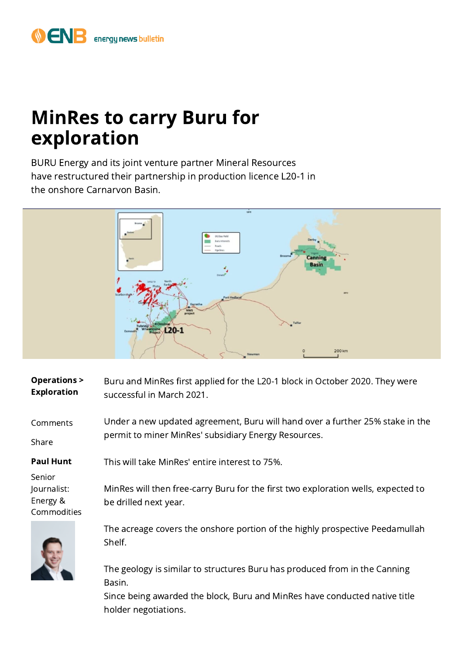## MinRes to carry Buru for exploration

BURU Energy and its joint venture partner Mineral Resources have restructured their partnership in production licence L20-1 in the onshore Carnarvon Basin.



| <b>Operations &gt;</b><br><b>Exploration</b>     | Buru and MinRes first applied for the L20-1 block in October 2020. They were<br>successful in March 2021.                             |
|--------------------------------------------------|---------------------------------------------------------------------------------------------------------------------------------------|
| Comments<br>Share                                | Under a new updated agreement, Buru will hand over a further 25% stake in the<br>permit to miner MinRes' subsidiary Energy Resources. |
| <b>Paul Hunt</b>                                 | This will take MinRes' entire interest to 75%.                                                                                        |
| Senior<br>Journalist:<br>Energy &<br>Commodities | MinRes will then free-carry Buru for the first two exploration wells, expected to<br>be drilled next year.                            |
|                                                  | The acreage covers the onshore portion of the highly prospective Peedamullah<br>Shelf.                                                |

The geology is similar to structures Buru has produced from in the Canning Basin.

Since being awarded the block, Buru and MinRes have conducted native title holder negotiations.